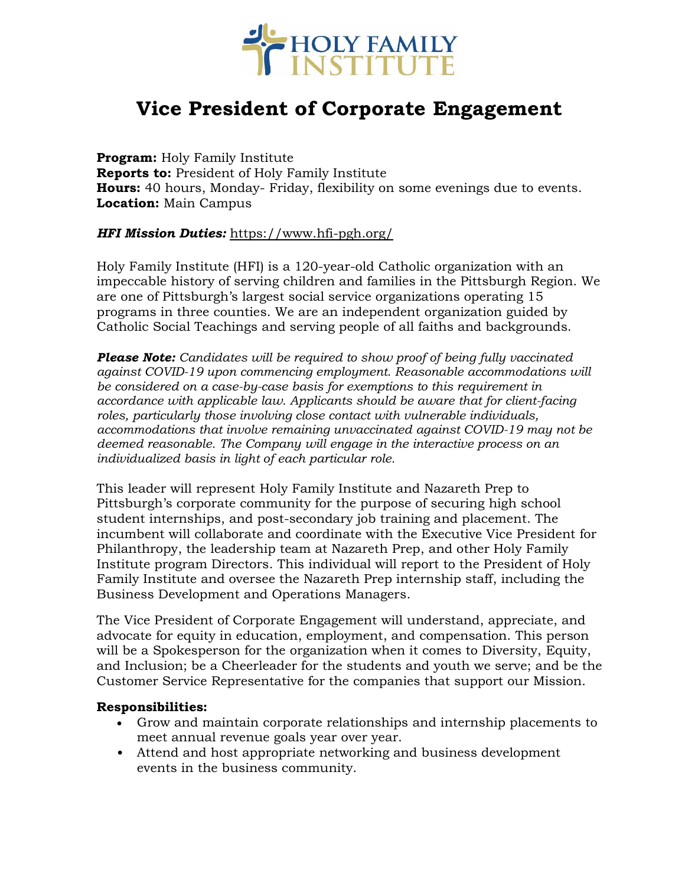

# **Vice President of Corporate Engagement**

**Program:** Holy Family Institute **Reports to:** President of Holy Family Institute **Hours:** 40 hours, Monday- Friday, flexibility on some evenings due to events. **Location:** Main Campus

#### *HFI Mission Duties:* <https://www.hfi-pgh.org/>

Holy Family Institute (HFI) is a 120-year-old Catholic organization with an impeccable history of serving children and families in the Pittsburgh Region. We are one of Pittsburgh's largest social service organizations operating 15 programs in three counties. We are an independent organization guided by Catholic Social Teachings and serving people of all faiths and backgrounds.

*Please Note: Candidates will be required to show proof of being fully vaccinated against COVID-19 upon commencing employment. Reasonable accommodations will be considered on a case-by-case basis for exemptions to this requirement in accordance with applicable law. Applicants should be aware that for client-facing roles, particularly those involving close contact with vulnerable individuals, accommodations that involve remaining unvaccinated against COVID-19 may not be deemed reasonable. The Company will engage in the interactive process on an individualized basis in light of each particular role.*

This leader will represent Holy Family Institute and Nazareth Prep to Pittsburgh's corporate community for the purpose of securing high school student internships, and post-secondary job training and placement. The incumbent will collaborate and coordinate with the Executive Vice President for Philanthropy, the leadership team at Nazareth Prep, and other Holy Family Institute program Directors. This individual will report to the President of Holy Family Institute and oversee the Nazareth Prep internship staff, including the Business Development and Operations Managers.

The Vice President of Corporate Engagement will understand, appreciate, and advocate for equity in education, employment, and compensation. This person will be a Spokesperson for the organization when it comes to Diversity, Equity, and Inclusion; be a Cheerleader for the students and youth we serve; and be the Customer Service Representative for the companies that support our Mission.

#### **Responsibilities:**

- Grow and maintain corporate relationships and internship placements to meet annual revenue goals year over year.
- Attend and host appropriate networking and business development events in the business community.